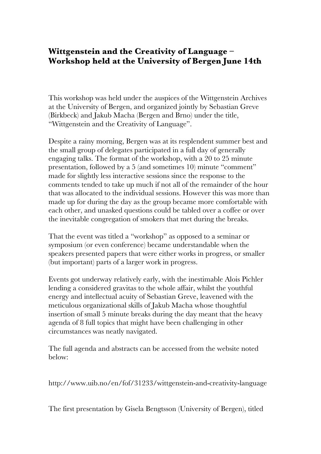## **Wittgenstein and the Creativity of Language – Workshop held at the University of Bergen June 14th**

This workshop was held under the auspices of the Wittgenstein Archives at the University of Bergen, and organized jointly by Sebastian Greve (Birkbeck) and Jakub Macha (Bergen and Brno) under the title, "Wittgenstein and the Creativity of Language".

Despite a rainy morning, Bergen was at its resplendent summer best and the small group of delegates participated in a full day of generally engaging talks. The format of the workshop, with a 20 to 25 minute presentation, followed by a 5 (and sometimes 10) minute "comment" made for slightly less interactive sessions since the response to the comments tended to take up much if not all of the remainder of the hour that was allocated to the individual sessions. However this was more than made up for during the day as the group became more comfortable with each other, and unasked questions could be tabled over a coffee or over the inevitable congregation of smokers that met during the breaks.

That the event was titled a "workshop" as opposed to a seminar or symposium (or even conference) became understandable when the speakers presented papers that were either works in progress, or smaller (but important) parts of a larger work in progress.

Events got underway relatively early, with the inestimable Alois Pichler lending a considered gravitas to the whole affair, whilst the youthful energy and intellectual acuity of Sebastian Greve, leavened with the meticulous organizational skills of Jakub Macha whose thoughtful insertion of small 5 minute breaks during the day meant that the heavy agenda of 8 full topics that might have been challenging in other circumstances was neatly navigated.

The full agenda and abstracts can be accessed from the website noted below:

http://www.uib.no/en/fof/31233/wittgenstein-and-creativity-language

The first presentation by Gisela Bengtsson (University of Bergen), titled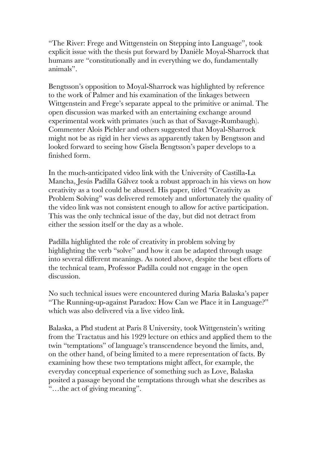"The River: Frege and Wittgenstein on Stepping into Language", took explicit issue with the thesis put forward by Danièle Moyal-Sharrock that humans are "constitutionally and in everything we do, fundamentally animals".

Bengtsson's opposition to Moyal-Sharrock was highlighted by reference to the work of Palmer and his examination of the linkages between Wittgenstein and Frege's separate appeal to the primitive or animal. The open discussion was marked with an entertaining exchange around experimental work with primates (such as that of Savage-Rumbaugh). Commenter Alois Pichler and others suggested that Moyal-Sharrock might not be as rigid in her views as apparently taken by Bengtsson and looked forward to seeing how Gisela Bengtsson's paper develops to a finished form.

In the much-anticipated video link with the University of Castilla-La Mancha, Jesús Padilla Gálvez took a robust approach in his views on how creativity as a tool could be abused. His paper, titled "Creativity as Problem Solving" was delivered remotely and unfortunately the quality of the video link was not consistent enough to allow for active participation. This was the only technical issue of the day, but did not detract from either the session itself or the day as a whole.

Padilla highlighted the role of creativity in problem solving by highlighting the verb "solve" and how it can be adapted through usage into several different meanings. As noted above, despite the best efforts of the technical team, Professor Padilla could not engage in the open discussion.

No such technical issues were encountered during Maria Balaska's paper "The Running-up-against Paradox: How Can we Place it in Language?" which was also delivered via a live video link.

Balaska, a Phd student at Paris 8 University, took Wittgenstein's writing from the Tractatus and his 1929 lecture on ethics and applied them to the twin "temptations" of language's transcendence beyond the limits, and, on the other hand, of being limited to a mere representation of facts. By examining how these two temptations might affect, for example, the everyday conceptual experience of something such as Love, Balaska posited a passage beyond the temptations through what she describes as "…the act of giving meaning".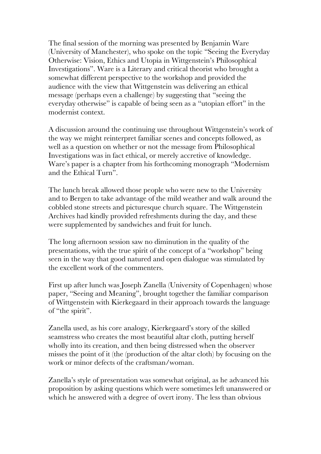The final session of the morning was presented by Benjamin Ware (University of Manchester), who spoke on the topic "Seeing the Everyday Otherwise: Vision, Ethics and Utopia in Wittgenstein's Philosophical Investigations". Ware is a Literary and critical theorist who brought a somewhat different perspective to the workshop and provided the audience with the view that Wittgenstein was delivering an ethical message (perhaps even a challenge) by suggesting that "seeing the everyday otherwise" is capable of being seen as a "utopian effort" in the modernist context.

A discussion around the continuing use throughout Wittgenstein's work of the way we might reinterpret familiar scenes and concepts followed, as well as a question on whether or not the message from Philosophical Investigations was in fact ethical, or merely accretive of knowledge. Ware's paper is a chapter from his forthcoming monograph "Modernism and the Ethical Turn".

The lunch break allowed those people who were new to the University and to Bergen to take advantage of the mild weather and walk around the cobbled stone streets and picturesque church square. The Wittgenstein Archives had kindly provided refreshments during the day, and these were supplemented by sandwiches and fruit for lunch.

The long afternoon session saw no diminution in the quality of the presentations, with the true spirit of the concept of a "workshop" being seen in the way that good natured and open dialogue was stimulated by the excellent work of the commenters.

First up after lunch was Joseph Zanella (University of Copenhagen) whose paper, "Seeing and Meaning", brought together the familiar comparison of Wittgenstein with Kierkegaard in their approach towards the language of "the spirit".

Zanella used, as his core analogy, Kierkegaard's story of the skilled seamstress who creates the most beautiful altar cloth, putting herself wholly into its creation, and then being distressed when the observer misses the point of it (the (production of the altar cloth) by focusing on the work or minor defects of the craftsman/woman.

Zanella's style of presentation was somewhat original, as he advanced his proposition by asking questions which were sometimes left unanswered or which he answered with a degree of overt irony. The less than obvious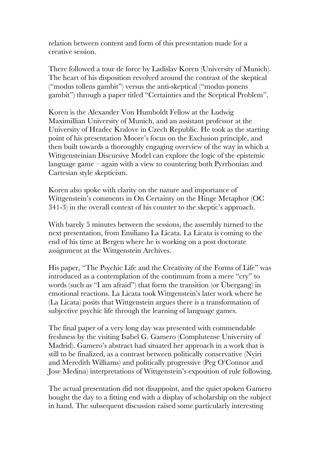relation between content and form of this presentation made for a creative session.

There followed a tour de force by Ladislav Koren (University of Munich). The heart of his disposition revolved around the contrast of the skeptical ("modus tollens gambit") versus the anti-skeptical ("modus ponens gambit") through a paper titled "Certainties and the Sceptical Problem".

Koren is the Alexander Von Humboldt Fellow at the Ludwig Maximillian University of Munich, and an assistant professor at the University of Hradec Kralove in Czech Republic. He took as the starting point of his presentation Moore's focus on the Exclusion principle, and then built towards a thoroughly engaging overview of the way in which a Wittgensteinian Discursive Model can explore the logic of the epistemic language game – again with a view to countering both Pyrrhonian and Cartesian style skepticism.

Koren also spoke with clarity on the nature and importance of Wittgenstein's comments in On Certainty on the Hinge Metaphor (OC 341-3) in the overall context of his counter to the skeptic's approach.

With barely 5 minutes between the sessions, the assembly turned to the next presentation, from Emiliano La Licata. La Licata is coming to the end of his time at Bergen where he is working on a post doctorate assignment at the Wittgenstein Archives.

His paper, "The Psychic Life and the Creativity of the Forms of Life" was introduced as a contemplation of the continuum from a mere "cry" to words (such as "I am afraid") that form the transition (or Übergang) in emotional reactions. La Licata took Wittgenstein's later work where he (La Licata) posits that Wittgenstein argues there is a transformation of subjective psychic life through the learning of language games.

The final paper of a very long day was presented with commendable freshness by the visiting Isabel G. Gamero (Complutense University of Madrid). Gamero's abstract had situated her approach in a work that is still to be finalized, as a contrast between politically conservative (Nyiri and Meredith Williams) and politically progressive (Peg O'Connor and Jose Medina) interpretations of Wittgenstein's exposition of rule following.

The actual presentation did not disappoint, and the quiet spoken Gamero bought the day to a fitting end with a display of scholarship on the subject in hand. The subsequent discussion raised some particularly interesting